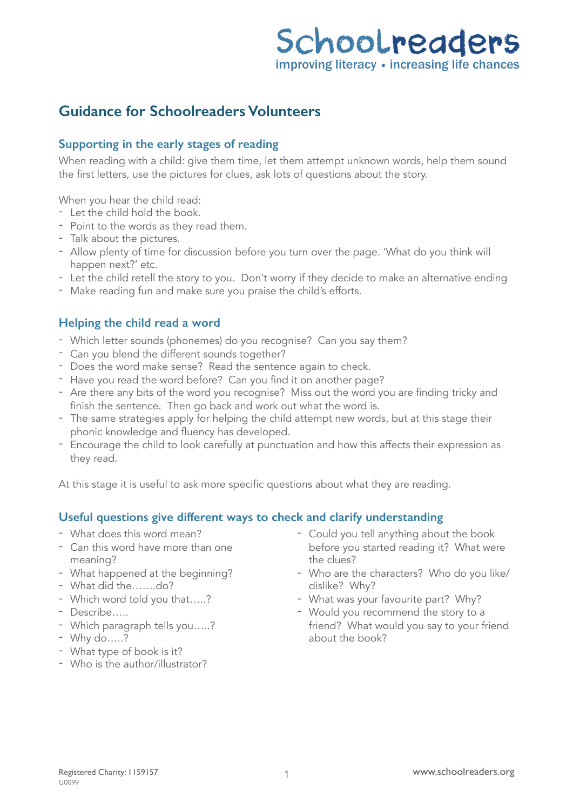# Schoolreaders improving literacy • increasing life chances

## **Guidance for Schoolreaders Volunteers**

#### **Supporting in the early stages of reading**

When reading with a child: give them time, let them attempt unknown words, help them sound the first letters, use the pictures for clues, ask lots of questions about the story.

When you hear the child read:

- Let the child hold the book.
- Point to the words as they read them.
- Talk about the pictures.
- Allow plenty of time for discussion before you turn over the page. 'What do you think will happen next?' etc.
- Let the child retell the story to you. Don't worry if they decide to make an alternative ending
- Make reading fun and make sure you praise the child's efforts.

### **Helping the child read a word**

- Which letter sounds (phonemes) do you recognise? Can you say them?
- Can you blend the different sounds together?
- Does the word make sense? Read the sentence again to check.
- Have you read the word before? Can you find it on another page?
- Are there any bits of the word you recognise? Miss out the word you are finding tricky and finish the sentence. Then go back and work out what the word is.
- The same strategies apply for helping the child attempt new words, but at this stage their phonic knowledge and fluency has developed.
- Encourage the child to look carefully at punctuation and how this affects their expression as they read.

At this stage it is useful to ask more specific questions about what they are reading.

### **Useful questions give different ways to check and clarify understanding**

- What does this word mean?
- Can this word have more than one meaning?
- What happened at the beginning?
- What did the…….do?
- Which word told you that…..?
- Describe…..
- Which paragraph tells you…..?
- Why do…..?
- What type of book is it?
- Who is the author/illustrator?
- Could you tell anything about the book before you started reading it? What were the clues?
- Who are the characters? Who do you like/ dislike? Why?
- What was your favourite part? Why?
- Would you recommend the story to a friend? What would you say to your friend about the book?